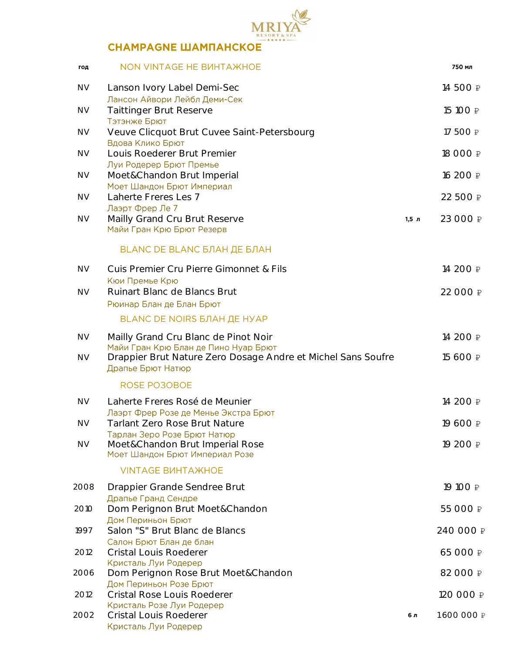

# **CHAMPAGNE ШАМПАНСКОЕ**

| год       | NON VINTAGE HE BUHTA WHOE                                                          |         | 750 мл      |
|-----------|------------------------------------------------------------------------------------|---------|-------------|
| <b>NV</b> | Lanson Ivory Label Demi-Sec<br>Лансон Айвори Лейбл Деми-Сек                        |         | 14 500 ₽    |
| <b>NV</b> | <b>Taittinger Brut Reserve</b><br>Тэтэнже Брют                                     |         | 15 100 ₽    |
| <b>NV</b> | Veuve Clicquot Brut Cuvee Saint-Petersbourg<br>Вдова Клико Брют                    |         | 17 500 ₽    |
| <b>NV</b> | Louis Roederer Brut Premier<br>Луи Родерер Брют Премье                             |         | 18 000 ₽    |
| <b>NV</b> | Moet&Chandon Brut Imperial<br>Моет Шандон Брют Империал                            |         | 16 200 ₽    |
| <b>NV</b> | Laherte Freres Les 7<br>Лаэрт Фрер Ле 7                                            |         | 22 500 ₽    |
| <b>NV</b> | Mailly Grand Cru Brut Reserve<br>Майи Гран Крю Брют Резерв                         | $1,5$ л | 23 000 ₽    |
|           | BLANC DE BLANC БЛАН ДЕ БЛАН                                                        |         |             |
| <b>NV</b> | Cuis Premier Cru Pierre Gimonnet & Fils<br>Кюи Премье Крю                          |         | 14 200 ₽    |
| <b>NV</b> | Ruinart Blanc de Blancs Brut<br>Рюинар Блан де Блан Брют                           |         | 22 000 ₽    |
|           | <b>BLANC DE NOIRS БЛАН ДЕ НУАР</b>                                                 |         |             |
| <b>NV</b> | Mailly Grand Cru Blanc de Pinot Noir<br>Майи Гран Крю Блан де Пино Нуар Брют       |         | 14 200 ₽    |
| <b>NV</b> | Drappier Brut Nature Zero Dosage Andre et Michel Sans Soufre<br>Драпье Брют Натюр  |         | 15 600 ₽    |
|           | ROSE PO3OBOE                                                                       |         |             |
| <b>NV</b> | Laherte Freres Rosé de Meunier<br>Лаэрт Фрер Розе де Менье Экстра Брют             |         | 14 200 ₽    |
| <b>NV</b> | <b>Tarlant Zero Rose Brut Nature</b><br>Тарлан Зеро Розе Брют Натюр                |         | 19 600 ₽    |
| <b>NV</b> | Moet&Chandon Brut Imperial Rose<br>Моет Шандон Брют Империал Розе                  |         | 19 200 ₽    |
|           | <b>VINTAGE BUHTA WHOE</b>                                                          |         |             |
| 2008      | Drappier Grande Sendree Brut<br>Драпье Гранд Сендре                                |         | 19 100 ₽    |
| 2010      | Dom Perignon Brut Moet&Chandon<br>Дом Периньон Брют                                |         | 55 000 ₽    |
| 1997      | Salon "S" Brut Blanc de Blancs                                                     |         | 240 000 ₽   |
| 2012      | Салон Брют Блан де блан<br><b>Cristal Louis Roederer</b>                           |         | 65 000 ₽    |
| 2006      | Кристаль Луи Родерер<br>Dom Perignon Rose Brut Moet&Chandon                        |         | 82 000 ₽    |
| 2012      | Дом Периньон Розе Брют<br>Cristal Rose Louis Roederer                              |         | 120 000 ₽   |
| 2002      | Кристаль Розе Луи Родерер<br><b>Cristal Louis Roederer</b><br>Кристаль Луи Родерер | 6л      | 1 600 000 ₽ |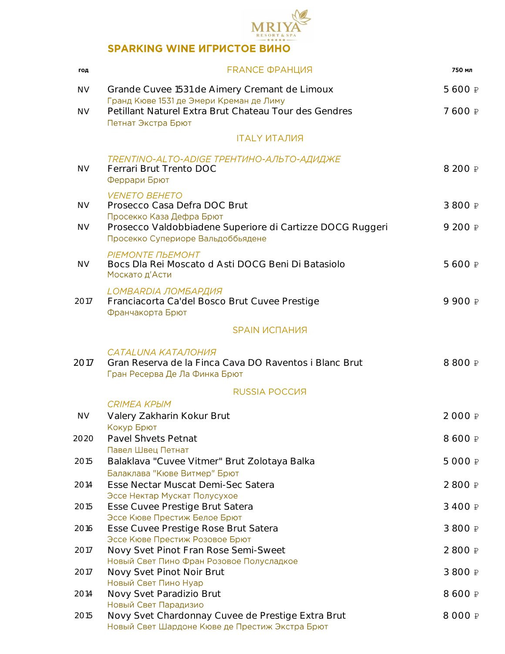

### **SPARKING WINE ИГРИСТОЕ ВИНО**

| год       | <b>FRANCE ФРАНЦИЯ</b>                                                                                          | 750 мл  |
|-----------|----------------------------------------------------------------------------------------------------------------|---------|
| <b>NV</b> | Grande Cuvee 1531 de Aimery Cremant de Limoux<br>Гранд Кюве 1531 де Эмери Креман де Лиму                       | 5 600 ₽ |
| <b>NV</b> | Petillant Naturel Extra Brut Chateau Tour des Gendres<br>Петнат Экстра Брют                                    | 7 600 ₽ |
|           | <b>ITALY ИТАЛИЯ</b>                                                                                            |         |
| <b>NV</b> | TRENTINO-ALTO-ADIGE TPEHTИHO-ΑЛЬΤΟ-ΑДИДЖЕ<br>Ferrari Brut Trento DOC<br>Феррари Брют                           | 8 200 ₽ |
| <b>NV</b> | <b>VENETO BEHETO</b><br>Prosecco Casa Defra DOC Brut<br>Просекко Каза Дефра Брют                               | 3 800 ₽ |
| <b>NV</b> | Prosecco Valdobbiadene Superiore di Cartizze DOCG Ruggeri<br>Просекко Супериоре Вальдоббьядене                 | 9 200 ₽ |
| <b>NV</b> | PIEMONTE ΠЬΕΜΟΗΤ<br>Bocs Dla Rei Moscato d Asti DOCG Beni Di Batasiolo<br>Москато д'Асти                       | 5 600 ₽ |
| 2017      | LOMBARDIA ЛОМБАРДИЯ<br>Franciacorta Ca'del Bosco Brut Cuvee Prestige<br>Франчакорта Брют                       | 9 900 ₽ |
|           | <b>SPAIN ИСПАНИЯ</b>                                                                                           |         |
| 2017      | CATALUNA KATAJIOHUA<br>Gran Reserva de la Finca Cava DO Raventos i Blanc Brut<br>Гран Ресерва Де Ла Финка Брют | 8 800 ₽ |
|           | RUSSIA POCCUS                                                                                                  |         |
| <b>NV</b> | <b>CRIMEA KPЫM</b><br>Valery Zakharin Kokur Brut<br>Кокур Брют                                                 | 2 000 ₽ |
| 2020      | Pavel Shvets Petnat                                                                                            | 8 600 ₽ |
| 2015      | Павел Швец Петнат<br>Balaklava "Cuvee Vitmer" Brut Zolotaya Balka                                              | 5 000 ₽ |
| 2014      | Балаклава "Кюве Витмер" Брют<br>Esse Nectar Muscat Demi-Sec Satera                                             | 2 800 ₽ |
| 2015      | Эссе Нектар Мускат Полусухое<br>Esse Cuvee Prestige Brut Satera<br>Эссе Кюве Престиж Белое Брют                | 3 400 ₽ |
| 2016      | Esse Cuvee Prestige Rose Brut Satera                                                                           | 3 800 ₽ |
| 2017      | Эссе Кюве Престиж Розовое Брют<br>Novy Svet Pinot Fran Rose Semi-Sweet                                         | 2 800 ₽ |
| 2017      | Новый Свет Пино Фран Розовое Полусладкое<br>Novy Svet Pinot Noir Brut                                          | 3 800 ₽ |
|           | Новый Свет Пино Нуар                                                                                           |         |
| 2014      | Novy Svet Paradizio Brut<br>Новый Свет Парадизио                                                               | 8 600 ₽ |
| 2015      | Novy Svet Chardonnay Cuvee de Prestige Extra Brut<br>Новый Свет Шардоне Кюве де Престиж Экстра Брют            | 8 000 ₽ |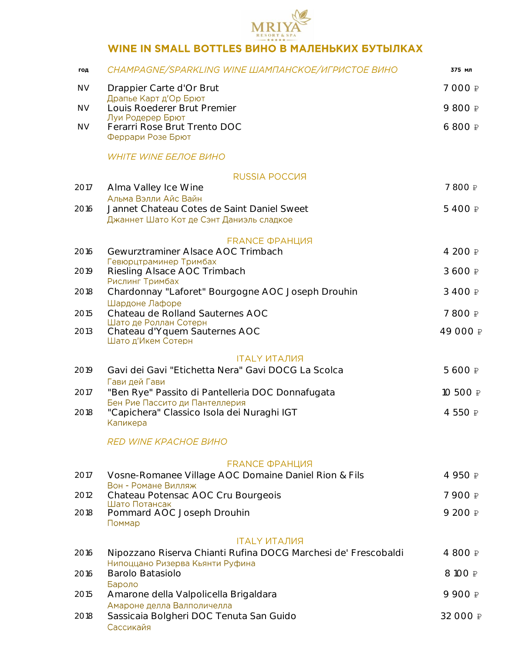

# WINE IN SMALL BOTTLES ВИНО В МАЛЕНЬКИХ БУТЫЛКАХ

| год       | CHAMPAGNE/SPARKLING WINE ШАМПАНСКОЕ/ИГРИСТОЕ ВИНО                                                 | 375 мл   |
|-----------|---------------------------------------------------------------------------------------------------|----------|
| <b>NV</b> | Drappier Carte d'Or Brut                                                                          | 7 000 ₽  |
| <b>NV</b> | Драпье Карт д'Ор Брют<br>Louis Roederer Brut Premier                                              | 9 800 ₽  |
| <b>NV</b> | Луи Родерер Брют<br>Ferarri Rose Brut Trento DOC<br>Феррари Розе Брют                             | 6 800 ₽  |
|           | <b>WHITE WINE БЕЛОЕ ВИНО</b>                                                                      |          |
|           | RUSSIA POCCUS                                                                                     |          |
| 2017      | Alma Valley Ice Wine<br>Альма Вэлли Айс Вайн                                                      | 7 800 ₽  |
| 2016      | Jannet Chateau Cotes de Saint Daniel Sweet<br>Джаннет Шато Кот де Сэнт Даниэль сладкое            | 5 400 ₽  |
|           | <b>FRANCE ФРАНЦИЯ</b>                                                                             |          |
| 2016      | Gewurztraminer Alsace AOC Trimbach<br>Гевюрцтраминер Тримбах                                      | 4 200 ₽  |
| 2019      | Riesling Alsace AOC Trimbach                                                                      | 3 600 ₽  |
| 2018      | Рислинг Тримбах<br>Chardonnay "Laforet" Bourgogne AOC Joseph Drouhin                              | 3 400 ₽  |
| 2015      | Шардоне Лафоре<br>Chateau de Rolland Sauternes AOC                                                | 7 800 ₽  |
| 2013      | Шато де Роллан Сотерн<br>Chateau d'Yquem Sauternes AOC<br>Шато д'Икем Сотерн                      | 49 000 ₽ |
|           | <b>ITALY ИТАЛИЯ</b>                                                                               |          |
| 2019      | Gavi dei Gavi "Etichetta Nera" Gavi DOCG La Scolca                                                | 5 600 ₽  |
| 2017      | Гави дей Гави<br>"Ben Rye" Passito di Pantelleria DOC Donnafugata                                 | 10 500 ₽ |
| 2018      | Бен Рие Пассито ди Пантеллерия<br>"Capichera" Classico Isola dei Nuraghi IGT<br>Капикера          | 4 550 ₽  |
|           | <i>RED WINE KPACHOE BИHO</i>                                                                      |          |
|           | <b>FRANCE ФРАНЦИЯ</b>                                                                             |          |
| 2017      | Vosne-Romanee Village AOC Domaine Daniel Rion & Fils                                              | 4 950 ₽  |
| 2012      | Вон - Романе Вилляж<br>Chateau Potensac AOC Cru Bourgeois                                         | 7 900 ₽  |
| 2018      | Шато Потансак<br>Pommard AOC Joseph Drouhin<br>Поммар                                             | 9 200 ₽  |
|           | <b>ITALY ИТАЛИЯ</b>                                                                               |          |
| 2016      | Nipozzano Riserva Chianti Rufina DOCG Marchesi de' Frescobaldi<br>Нипоццано Ризерва Кьянти Руфина | 4 800 ₽  |
| 2016      | Barolo Batasiolo                                                                                  | 8 100 ₽  |
| 2015      | Бароло<br>Amarone della Valpolicella Brigaldara                                                   | 9 900 ₽  |
|           | Амароне делла Валполичелла                                                                        |          |
| 2018      | Sassicaia Bolgheri DOC Tenuta San Guido<br>Сассикайя                                              | 32 000 ₽ |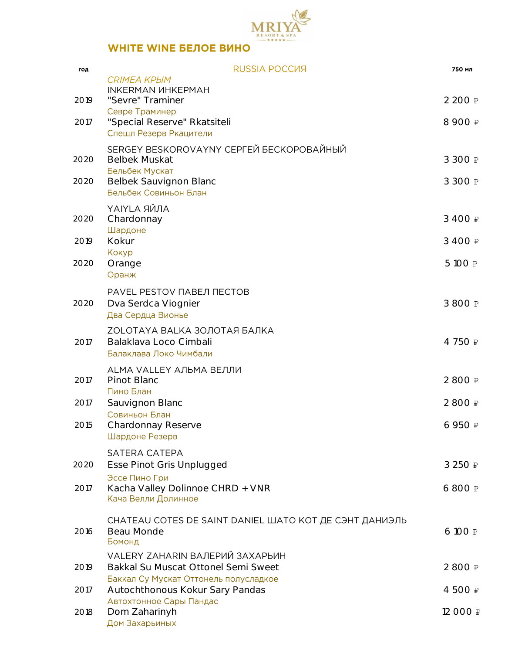

| год  | RUSSIA POCCUS                                                      | 750 мл          |
|------|--------------------------------------------------------------------|-----------------|
| 2019 | <b>CRIMEA КРЫМ</b><br><b>INKERMAN ИНКЕРМАН</b><br>"Sevre" Traminer | 2 200 ₽         |
|      | Севре Траминер                                                     |                 |
| 2017 | "Special Reserve" Rkatsiteli<br>Спешл Резерв Ркацители             | 8 900 ₽         |
|      | SERGEY BESKOROVAYNY СЕРГЕЙ БЕСКОРОВАЙНЫЙ                           |                 |
| 2020 | <b>Belbek Muskat</b><br>Бельбек Мускат                             | 3 300 ₽         |
| 2020 | Belbek Sauvignon Blanc                                             | 3 300 ₽         |
|      | Бельбек Совиньон Блан                                              |                 |
|      | <b>ҮАІҮLА ЯЙЛА</b>                                                 |                 |
| 2020 | Chardonnay<br>Шардоне                                              | 3 400 ₽         |
| 2019 | Kokur                                                              | 3 400 ₽         |
| 2020 | Кокур                                                              | 5 100 ₽         |
|      | Orange<br>Оранж                                                    |                 |
|      | PAVEL PESTOV ПАВЕЛ ПЕСТОВ                                          |                 |
| 2020 | Dva Serdca Viognier                                                | 3 800 ₽         |
|      | Два Сердца Вионье                                                  |                 |
|      | ZOLOTAYA BALKA ЗОЛОТАЯ БАЛКА                                       |                 |
| 2017 | Balaklava Loco Cimbali<br>Балаклава Локо Чимбали                   | 4 750 ₽         |
|      | ALMA VALLEY АЛЬМА ВЕЛЛИ                                            |                 |
| 2017 | Pinot Blanc                                                        | 2 800 ₽         |
|      | Пино Блан                                                          | 2 800 ₽         |
| 2017 | Sauvignon Blanc<br>Совиньон Блан                                   |                 |
| 2015 | Chardonnay Reserve                                                 | 6 950 ₽         |
|      | Шардоне Резерв                                                     |                 |
|      | SATERA CATEPA                                                      |                 |
| 2020 | Esse Pinot Gris Unplugged<br>Эссе Пино Гри                         | 3 250 ₽         |
| 2017 | Kacha Valley Dolinnoe CHRD + VNR                                   | 6 800 ₽         |
|      | Кача Велли Долинное                                                |                 |
|      | CHATEAU COTES DE SAINT DANIEL ШАТО КОТ ДЕ СЭНТ ДАНИЭЛЬ             |                 |
| 2016 | Beau Monde<br>Бомонд                                               | $6100 \nvert P$ |
|      | VALERY ZAHARIN ВАЛЕРИЙ ЗАХАРЬИН                                    |                 |
| 2019 | Bakkal Su Muscat Ottonel Semi Sweet                                | 2 800 ₽         |
|      | Баккал Су Мускат Оттонель полусладкое                              |                 |
| 2017 | Autochthonous Kokur Sary Pandas<br>Автохтонное Сары Пандас         | 4 500 ₽         |
| 2018 | Dom Zaharinyh                                                      | 12 000 ₽        |
|      | Дом Захарьиных                                                     |                 |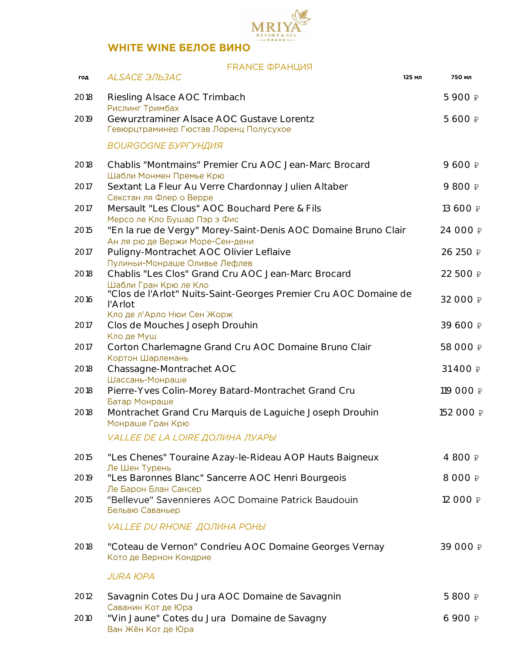

### **FRANCE ФРАНЦИЯ**

| год  | ALSACE ЭЛЬЗАС                                                                                        | 125 мл | 750 мл          |
|------|------------------------------------------------------------------------------------------------------|--------|-----------------|
| 2018 | Riesling Alsace AOC Trimbach<br>Рислинг Тримбах                                                      |        | 5 900 ₽         |
| 2019 | Gewurztraminer Alsace AOC Gustave Lorentz<br>Гевюрцтраминер Гюстав Лоренц Полусухое                  |        | 5 600 ₽         |
|      | <b>BOURGOGNE БУРГУНДИЯ</b>                                                                           |        |                 |
| 2018 | Chablis "Montmains" Premier Cru AOC Jean-Marc Brocard<br>Шабли Монмен Премье Крю                     |        | 9 600 ₽         |
| 2017 | Sextant La Fleur Au Verre Chardonnay Julien Altaber<br>Секстан ля Флер о Верре                       |        | 9 800 ₽         |
| 2017 | Mersault "Les Clous" AOC Bouchard Pere & Fils<br>Мерсо ле Кло Бушар Пэр э Фис                        |        | 13 600 ₽        |
| 2015 | "En la rue de Vergy" Morey-Saint-Denis AOC Domaine Bruno Clair<br>Ан ля рю де Вержи Море-Сен-дени    |        | 24 000 ₽        |
| 2017 | Puligny-Montrachet AOC Olivier Leflaive<br>Пулиньи-Монраше Оливье Лефлев                             |        | 26 250 ₽        |
| 2018 | Chablis "Les Clos" Grand Cru AOC Jean-Marc Brocard                                                   |        | 22 500 ₽        |
| 2016 | Шабли Гран Крю ле Кло<br>"Clos de l'Arlot" Nuits-Saint-Georges Premier Cru AOC Domaine de<br>l'Arlot |        | 32 000 ₽        |
| 2017 | Кло де л'Арло Нюи Сен Жорж<br>Clos de Mouches Joseph Drouhin<br>Кло де Муш                           |        | 39 600 ₽        |
| 2017 | Corton Charlemagne Grand Cru AOC Domaine Bruno Clair<br>Кортон Шарлемань                             |        | 58 000 ₽        |
| 2018 | Chassagne-Montrachet AOC<br>Шассань-Монраше                                                          |        | 31 400 ₽        |
| 2018 | Pierre-Yves Colin-Morey Batard-Montrachet Grand Cru<br>Батар Монраше                                 |        | 119 000 ₽       |
| 2018 | Montrachet Grand Cru Marquis de Laguiche Joseph Drouhin<br>Монраше Гран Крю                          |        | 152 000 ₽       |
|      | VALLEE DE LA LOIRE ДОЛИНА ЛУАРЫ                                                                      |        |                 |
| 2015 | "Les Chenes" Touraine Azay-le-Rideau AOP Hauts Baigneux<br>Ле Шен Турень                             |        | 4 800 ₽         |
| 2019 | "Les Baronnes Blanc" Sancerre AOC Henri Bourgeois                                                    |        | 8 000 ₽         |
| 2015 | Ле Барон Блан Сансер<br>"Bellevue" Savennieres AOC Domaine Patrick Baudouin<br>Бельвю Саваньер       |        | 12 000 ₽        |
|      | <b>VALLEE DU RHONE ДОЛИНА РОНЫ</b>                                                                   |        |                 |
| 2018 | "Coteau de Vernon" Condrieu AOC Domaine Georges Vernay<br>Кото де Вернон Кондрие                     |        | 39 000 ₽        |
|      | <b>JURA ЮPA</b>                                                                                      |        |                 |
| 2012 | Savagnin Cotes Du Jura AOC Domaine de Savagnin                                                       |        | 5 800 ₽         |
| 2010 | Саванин Кот де Юра<br>"Vin Jaune" Cotes du Jura Domaine de Savagny<br>Ван Жён Кот де Юра             |        | $6900 \nvert P$ |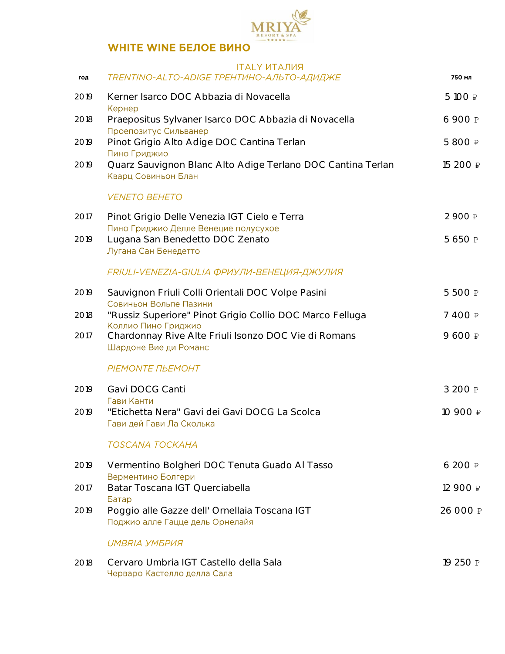

### **ITAI Y UTA JUST**

| год  | TRENTINO-ALTO-ADIGE TPEHTИHO-ΑΠЬΤΟ-ΑДИДЖΕ                                            | 750 мл          |
|------|--------------------------------------------------------------------------------------|-----------------|
| 2019 | Kerner Isarco DOC Abbazia di Novacella<br>Кернер                                     | 5 100 ₽         |
| 2018 | Praepositus Sylvaner Isarco DOC Abbazia di Novacella<br>Проепозитус Сильванер        | 6 900 ₽         |
| 2019 | Pinot Grigio Alto Adige DOC Cantina Terlan<br>Пино Гриджио                           | 5 800 ₽         |
| 2019 | Quarz Sauvignon Blanc Alto Adige Terlano DOC Cantina Terlan<br>Кварц Совиньон Блан   | 15 200 ₽        |
|      | <b>VENETO BEHETO</b>                                                                 |                 |
| 2017 | Pinot Grigio Delle Venezia IGT Cielo e Terra<br>Пино Гриджио Делле Венецие полусухое | 2 900 ₽         |
| 2019 | Lugana San Benedetto DOC Zenato<br>Лугана Сан Бенедетто                              | 5 650 ₽         |
|      | FRIULI-VENEZIA-GIULIA ФРИУЛИ-ВЕНЕЦИЯ-ДЖУЛИЯ                                          |                 |
| 2019 | Sauvignon Friuli Colli Orientali DOC Volpe Pasini<br>Совиньон Вольпе Пазини          | 5 500 ₽         |
| 2018 | "Russiz Superiore" Pinot Grigio Collio DOC Marco Felluga<br>Коллио Пино Гриджио      | 7 400 ₽         |
| 2017 | Chardonnay Rive Alte Friuli Isonzo DOC Vie di Romans<br>Шардоне Вие ди Романс        | 9 600 ₽         |
|      | PIEMONTE ΠЬΕΜΟΗΤ                                                                     |                 |
| 2019 | Gavi DOCG Canti<br>Гави Канти                                                        | 3 200 ₽         |
| 2019 | "Etichetta Nera" Gavi dei Gavi DOCG La Scolca<br>Гави дей Гави Ла Сколька            | 10 900 ₽        |
|      | TOSCANA TOCKAHA                                                                      |                 |
| 2019 | Vermentino Bolgheri DOC Tenuta Guado Al Tasso<br>Верментино Болгери                  | $6200 \nvert P$ |
| 2017 | Batar Toscana IGT Querciabella<br>Батар                                              | 12 900 ₽        |
| 2019 | Poggio alle Gazze dell' Ornellaia Toscana IGT<br>Поджио алле Гацце дель Орнелайя     | 26 000 ₽        |
|      | UMBRIA УМБРИЯ                                                                        |                 |
| 2018 | Cervaro Umbria IGT Castello della Sala<br>Черваро Кастелло делла Сала                | 19 250 ₽        |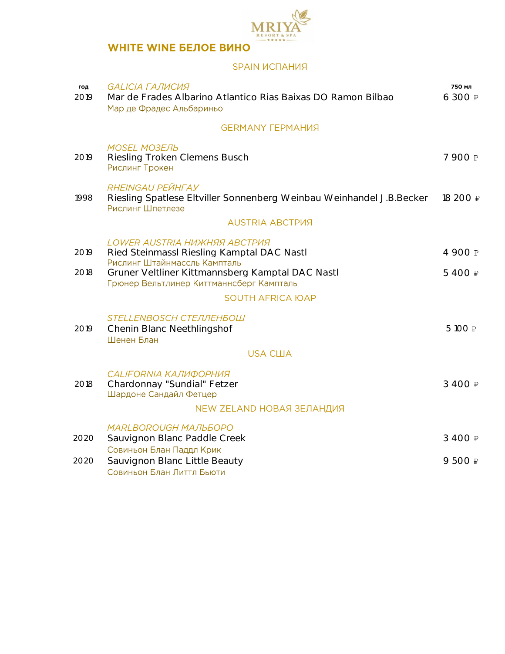

### SPAIN ИСПАНИЯ

| год<br>2019  | <b>GALICIA ГАЛИСИЯ</b><br>Mar de Frades Albarino Atlantico Rias Baixas DO Ramon Bilbao<br>Мар де Фрадес Альбариньо                                                                                         | 750 мл<br>6 300 ₽  |
|--------------|------------------------------------------------------------------------------------------------------------------------------------------------------------------------------------------------------------|--------------------|
|              | <b>GERMANY FEPMAHИЯ</b>                                                                                                                                                                                    |                    |
| 2019         | <b>MOSEL MO3EЛЬ</b><br>Riesling Troken Clemens Busch<br>Рислинг Трокен                                                                                                                                     | 7 900 ₽            |
| 1998         | RHEINGAU PEЙНГАУ<br>Riesling Spatlese Eltviller Sonnenberg Weinbau Weinhandel J.B.Becker<br>Рислинг Шпетлезе                                                                                               | 18 200 ₽           |
|              | <b>AUSTRIA ABCTPUS</b>                                                                                                                                                                                     |                    |
| 2019<br>2018 | LOWER AUSTRIA HUWHAA ABCTPUA<br>Ried Steinmassl Riesling Kamptal DAC Nastl<br>Рислинг Штайнмассль Кампталь<br>Gruner Veltliner Kittmannsberg Kamptal DAC Nastl<br>Грюнер Вельтлинер Киттманнсберг Кампталь | 4 900 ₽<br>5 400 ₽ |
|              | <b>SOUTH AFRICA ЮAP</b>                                                                                                                                                                                    |                    |
| 2019         | STELLENBOSCH СТЕЛЛЕНБОШ<br>Chenin Blanc Neethlingshof<br>Шенен Блан                                                                                                                                        | 5 100 ₽            |
|              | <b>USA США</b>                                                                                                                                                                                             |                    |
| 2018         | <b>CALIFORNIA КАЛИФОРНИЯ</b><br>Chardonnay "Sundial" Fetzer<br>Шардоне Сандайл Фетцер                                                                                                                      | 3 400 ₽            |
|              | NEW ZELAND НОВАЯ ЗЕЛАНДИЯ                                                                                                                                                                                  |                    |
| 2020         | <b>MARLBOROUGH MAЛЬБОРО</b><br>Sauvignon Blanc Paddle Creek<br>Совиньон Блан Паддл Крик                                                                                                                    | 3 400 ₽            |
| 2020         | Sauvignon Blanc Little Beauty<br>Совиньон Блан Литтл Бьюти                                                                                                                                                 | 9 500 ₽            |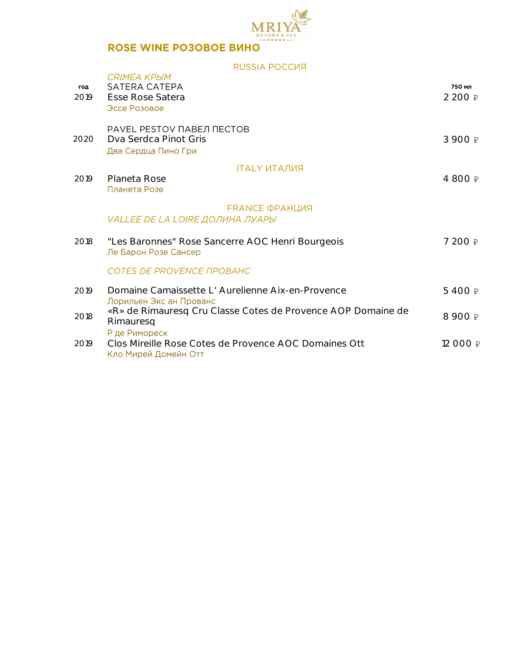

## ROSE WINE PO3OBOE BUHO

RUSSIA POCCUR

| год<br>2019 | <b>CRIMEA KPHM</b><br>SATERA CATEPA<br>Esse Rose Satera<br>Эссе Розовое                        | 750 мл<br>2 200 ₽ |
|-------------|------------------------------------------------------------------------------------------------|-------------------|
| 2020        | PAVEL PESTOV ПАВЕЛ ПЕСТОВ<br>Dva Serdca Pinot Gris<br>Два Сердца Пино Гри                      | 3 900 ₽           |
| 2019        | <b>ITALY ИТАЛИЯ</b><br>Planeta Rose<br>Планета Розе                                            | 4 800 ₽           |
|             | <b>FRANCE ФРАНЦИЯ</b><br>VALLEE DE LA LOIRE ДОЛИНА ЛУАРЫ                                       |                   |
| 2018        | "Les Baronnes" Rose Sancerre AOC Henri Bourgeois<br>Ле Барон Розе Сансер                       | 7 200 ₽           |
|             | <b>COTES DE PROVENCE ΠΡΟΒΑΗΣ</b>                                                               |                   |
| 2019        | Domaine Camaissette L'Aurelienne Aix-en-Provence<br>Лорильен Экс ан Прованс                    | 5400₽             |
| 2018        | «R» de Rimauresq Cru Classe Cotes de Provence AOP Domaine de<br>Rimauresq                      | 8 900 ₽           |
| 2019        | Р де Римореск<br>Clos Mireille Rose Cotes de Provence AOC Domaines Ott<br>Кло Мирей Домейн Отт | 12 000 ₽          |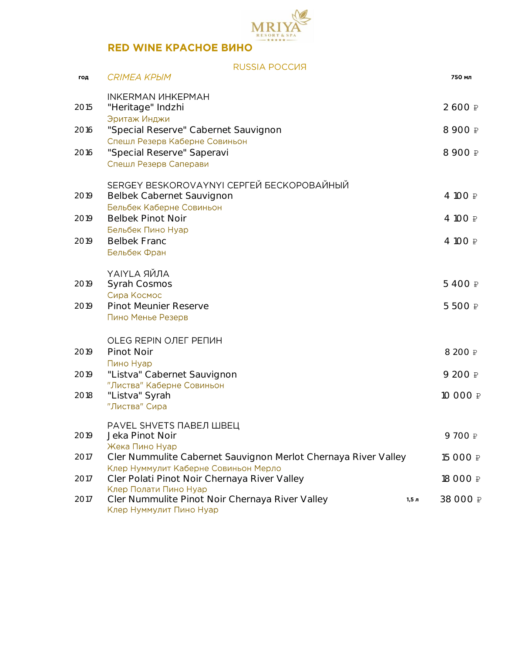

|      | RUSSIA POCCUS                                                                                       |       |          |
|------|-----------------------------------------------------------------------------------------------------|-------|----------|
| год  | CRIMEA KPbIM                                                                                        |       | 750 мл   |
| 2015 | <b>INKERMAN ИНКЕРМАН</b><br>"Heritage" Indzhi<br>Эритаж Инджи                                       |       | 2 600 ₽  |
| 2016 | "Special Reserve" Cabernet Sauvignon                                                                |       | 8 900 ₽  |
| 2016 | Спешл Резерв Каберне Совиньон<br>"Special Reserve" Saperavi<br>Спешл Резерв Саперави                |       | 8 900 ₽  |
| 2019 | SERGEY BESKOROVAYNYI СЕРГЕЙ БЕСКОРОВАЙНЫЙ<br>Belbek Cabernet Sauvignon<br>Бельбек Каберне Совиньон  |       | 4 100 ₽  |
| 2019 | <b>Belbek Pinot Noir</b>                                                                            |       | 4 100 ₽  |
| 2019 | Бельбек Пино Нуар<br><b>Belbek Franc</b><br>Бельбек Фран                                            |       | 4 100 ₽  |
| 2019 | <b>ҮАІҮLА ЯЙЛА</b><br>Syrah Cosmos<br>Сира Космос                                                   |       | 5 400 ₽  |
| 2019 | Pinot Meunier Reserve<br>Пино Менье Резерв                                                          |       | 5 500 ₽  |
| 2019 | OLEG REPIN ОЛЕГ РЕПИН<br>Pinot Noir<br>Пино Нуар                                                    |       | 8 200 ₽  |
| 2019 | "Listva" Cabernet Sauvignon                                                                         |       | 9 200 ₽  |
| 2018 | "Листва" Каберне Совиньон<br>"Listva" Syrah<br>"Листва" Сира                                        |       | 10 000 ₽ |
| 2019 | PAVEL SHVETS ПАВЕЛ ШВЕЦ<br>Jeka Pinot Noir<br>Жека Пино Нуар                                        |       | 9700₽    |
| 2017 | Cler Nummulite Cabernet Sauvignon Merlot Chernaya River Valley                                      |       | 15 000 ₽ |
| 2017 | Клер Нуммулит Каберне Совиньон Мерло<br>Cler Polati Pinot Noir Chernaya River Valley                |       | 18 000 ₽ |
| 2017 | Клер Полати Пино Нуар<br>Cler Nummulite Pinot Noir Chernaya River Valley<br>Клер Нуммулит Пино Нуар | 1,5 л | 38 000 ₽ |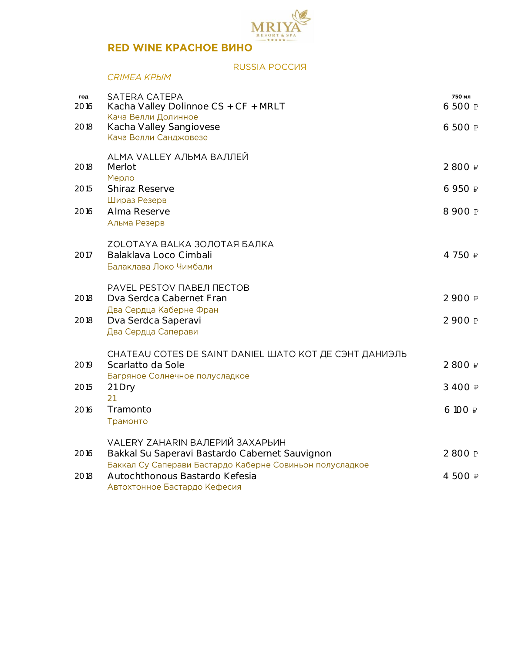

### RUSSIA POCCUS

| CRIMEA KPЫM |  |
|-------------|--|
|             |  |

|             |                                                          | 750 мл  |
|-------------|----------------------------------------------------------|---------|
| год<br>2016 | SATERA CATEPA<br>Kacha Valley Dolinnoe CS + CF + MRLT    | 6 500 ₽ |
|             | Кача Велли Долинное                                      |         |
| 2018        | Kacha Valley Sangiovese<br>Кача Велли Санджовезе         | 6 500 ₽ |
|             |                                                          |         |
| 2018        | ALMA VALLEY АЛЬМА ВАЛЛЕЙ<br>Merlot                       | 2 800 ₽ |
|             | Мерло                                                    |         |
| 2015        | <b>Shiraz Reserve</b>                                    | 6 950 ₽ |
|             | Шираз Резерв<br>Alma Reserve                             | 8 900 ₽ |
| 2016        | Альма Резерв                                             |         |
|             |                                                          |         |
|             | ZOLOTAYA BALKA ЗОЛОТАЯ БАЛКА<br>Balaklava Loco Cimbali   | 4750₽   |
| 2017        | Балаклава Локо Чимбали                                   |         |
|             |                                                          |         |
|             | PAVEL PESTOV ПАВЕЛ ПЕСТОВ                                |         |
| 2018        | Dva Serdca Cabernet Fran<br>Два Сердца Каберне Фран      | 2 900 ₽ |
| 2018        | Dva Serdca Saperavi                                      | 2 900 ₽ |
|             | Два Сердца Саперави                                      |         |
|             | CHATEAU COTES DE SAINT DANIEL ШАТО КОТ ДЕ СЭНТ ДАНИЭЛЬ   |         |
| 2019        | Scarlatto da Sole                                        | 2 800 ₽ |
|             | Багряное Солнечное полусладкое                           |         |
| 2015        | 21 Dry<br>21                                             | 3 400 ₽ |
| 2016        | Tramonto                                                 | 6 100 ₽ |
|             | Трамонто                                                 |         |
|             | VALERY ZAHARIN ВАЛЕРИЙ ЗАХАРЬИН                          |         |
| 2016        | Bakkal Su Saperavi Bastardo Cabernet Sauvignon           | 2 800 ₽ |
|             | Баккал Су Саперави Бастардо Каберне Совиньон полусладкое |         |
| 2018        | Autochthonous Bastardo Kefesia                           | 4 500 ₽ |
|             | Автохтонное Бастардо Кефесия                             |         |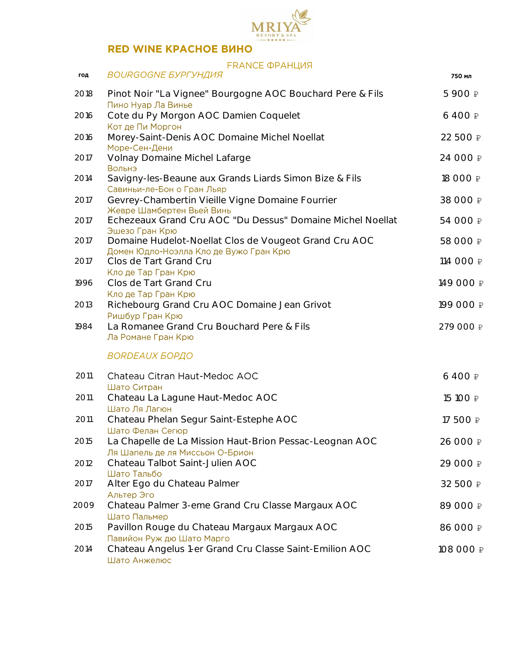

### **FRANCE ФРАНЦИЯ**

| год  | <b>BOURGOGNE БУРГУНДИЯ</b>                                                                           | 750 мл    |
|------|------------------------------------------------------------------------------------------------------|-----------|
| 2018 | Pinot Noir "La Vignee" Bourgogne AOC Bouchard Pere & Fils<br>Пино Нуар Ла Винье                      | 5 900 ₽   |
| 2016 | Cote du Py Morgon AOC Damien Coquelet<br>Кот де Пи Моргон                                            | 6 400 ₽   |
| 2016 | Morey-Saint-Denis AOC Domaine Michel Noellat<br>Море-Сен-Дени                                        | 22 500 ₽  |
| 2017 | Volnay Domaine Michel Lafarge<br>Вольнэ                                                              | 24 000 ₽  |
| 2014 | Savigny-les-Beaune aux Grands Liards Simon Bize & Fils<br>Савиньи-ле-Бон о Гран Льяр                 | 18 000 ₽  |
| 2017 | Gevrey-Chambertin Vieille Vigne Domaine Fourrier<br>Жевре Шамбертен Вьей Винь                        | 38 000 ₽  |
| 2017 | Echezeaux Grand Cru AOC "Du Dessus" Domaine Michel Noellat<br>Эшезо Гран Крю                         | 54 000 ₽  |
| 2017 | Domaine Hudelot-Noellat Clos de Vougeot Grand Cru AOC<br>Домен Юдло-Ноэлла Кло де Вужо Гран Крю      | 58 000 ₽  |
| 2017 | Clos de Tart Grand Cru<br>Кло де Тар Гран Крю                                                        | 114 000 ₽ |
| 1996 | Clos de Tart Grand Cru<br>Кло де Тар Гран Крю                                                        | 149 000 ₽ |
| 2013 | Richebourg Grand Cru AOC Domaine Jean Grivot<br>Ришбур Гран Крю                                      | 199 000 ₽ |
| 1984 | La Romanee Grand Cru Bouchard Pere & Fils<br>Ла Романе Гран Крю                                      | 279 000 ₽ |
|      | <b>BORDEAUX БОРДО</b>                                                                                |           |
| 2011 | Chateau Citran Haut-Medoc AOC<br>Шато Ситран                                                         | 6 400 ₽   |
| 2011 | Chateau La Lagune Haut-Medoc AOC<br>Шато Ля Лагюн                                                    | 15 100 ₽  |
| 2011 | Chateau Phelan Segur Saint-Estephe AOC<br>Шато Фелан Сегюр                                           | 17 500 ₽  |
| 2015 | La Chapelle de La Mission Haut-Brion Pessac-Leognan AOC<br>Ля Шапель де ля Миссьон О-Брион           | 26 000 ₽  |
| 2012 | Chateau Talbot Saint-Julien AOC<br>Шато Тальбо                                                       | 29 000 ₽  |
| 2017 | Alter Ego du Chateau Palmer<br>Альтер Эго                                                            | 32 500 ₽  |
| 2009 | Chateau Palmer 3-eme Grand Cru Classe Margaux AOC<br>Шато Пальмер                                    | 89 000 ₽  |
| 2015 | Pavillon Rouge du Chateau Margaux Margaux AOC                                                        | 86 000 ₽  |
| 2014 | Павийон Руж дю Шато Марго<br>Chateau Angelus 1-er Grand Cru Classe Saint-Emilion AOC<br>Шато Анжелюс | 108 000 ₽ |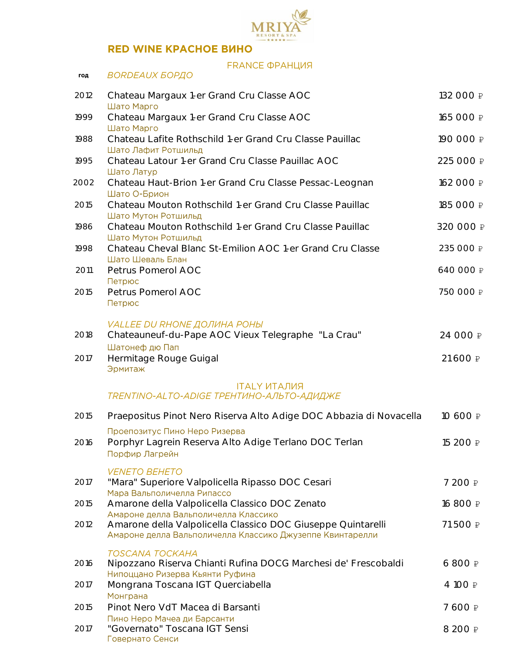

### FRANCE **OPAHLIVA**

| год  | <b>BORDEAUX БОРДО</b>                                                                                      |           |
|------|------------------------------------------------------------------------------------------------------------|-----------|
| 2012 | Chateau Margaux 1-er Grand Cru Classe AOC<br>Шато Марго                                                    | 132 000 ₽ |
| 1999 | Chateau Margaux 1-er Grand Cru Classe AOC<br>Шато Марго                                                    | 165 000 ₽ |
| 1988 | Chateau Lafite Rothschild 1-er Grand Cru Classe Pauillac<br>Шато Лафит Ротшильд                            | 190 000 ₽ |
| 1995 | Chateau Latour 1-er Grand Cru Classe Pauillac AOC<br>Шато Латур                                            | 225 000 ₽ |
| 2002 | Chateau Haut-Brion 1-er Grand Cru Classe Pessac-Leognan<br>Шато О-Брион                                    | 162 000 ₽ |
| 2015 | Chateau Mouton Rothschild 1-er Grand Cru Classe Pauillac<br>Шато Мутон Ротшильд                            | 185 000 ₽ |
| 1986 | Chateau Mouton Rothschild 1-er Grand Cru Classe Pauillac<br>Шато Мутон Ротшильд                            | 320 000 ₽ |
| 1998 | Chateau Cheval Blanc St-Emilion AOC 1-er Grand Cru Classe<br>Шато Шеваль Блан                              | 235 000 ₽ |
| 2011 | Petrus Pomerol AOC<br>Петрюс                                                                               | 640 000 ₽ |
| 2015 | Petrus Pomerol AOC<br>Петрюс                                                                               | 750 000 ₽ |
| 2018 | <b>VALLEE DU RHONE ДОЛИНА РОНЫ</b><br>Chateauneuf-du-Pape AOC Vieux Telegraphe "La Crau"<br>Шатонеф дю Пап | 24 000 ₽  |
| 2017 | Hermitage Rouge Guigal<br>Эрмитаж                                                                          | 21 600 ₽  |
|      | <b>ITALY ИТАЛИЯ</b><br>TRENTINO-ALTO-ADIGE TPEHTИНО-АЛЬТО-АДИДЖЕ                                           |           |
| 2015 | Praepositus Pinot Nero Riserva Alto Adige DOC Abbazia di Novacella                                         | 10 600 ₽  |
| 2016 | Проепозитус Пино Неро Ризерва<br>Porphyr Lagrein Reserva Alto Adige Terlano DOC Terlan<br>Порфир Лагрейн   | 15 200 ₽  |
| 2017 | <b>VENETO BEHETO</b><br>"Mara" Superiore Valpolicella Ripasso DOC Cesari                                   | 7 200 ₽   |
| 2015 | Мара Вальполичелла Рипассо<br>Amarone della Valpolicella Classico DOC Zenato                               | 16 800 ₽  |
| 2012 | Амароне делла Вальполичелла Классико<br>Amarone della Valpolicella Classico DOC Giuseppe Quintarelli       | 71 500 ₽  |
|      | Амароне делла Вальполичелла Классико Джузеппе Квинтарелли                                                  |           |
| 2016 | TOSCANA TOCKAHA<br>Nipozzano Riserva Chianti Rufina DOCG Marchesi de' Frescobaldi                          | 6 800 ₽   |
| 2017 | Нипоццано Ризерва Кьянти Руфина<br>Mongrana Toscana IGT Querciabella<br>Монграна                           | 4 100 ₽   |
| 2015 | Pinot Nero VdT Macea di Barsanti                                                                           | 7 600 ₽   |
| 2017 | Пино Неро Мачеа ди Барсанти<br>"Governato" Toscana IGT Sensi<br>Говернато Сенси                            | 8 200 ₽   |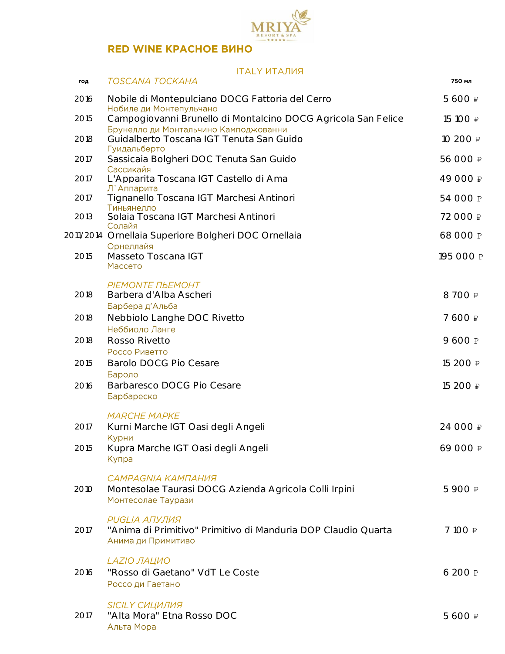

### **ITALY ИТАЛИЯ**

| год  | TOSCANA TOCKAHA                                                                                             | 750 мл          |
|------|-------------------------------------------------------------------------------------------------------------|-----------------|
| 2016 | Nobile di Montepulciano DOCG Fattoria del Cerro<br>Нобиле ди Монтепульчано                                  | 5 600 ₽         |
| 2015 | Campogiovanni Brunello di Montalcino DOCG Agricola San Felice                                               | 15 100 ₽        |
| 2018 | Брунелло ди Монтальчино Камподжованни<br>Guidalberto Toscana IGT Tenuta San Guido<br>Гуидальберто           | 10 200 ₽        |
| 2017 | Sassicaia Bolgheri DOC Tenuta San Guido<br>Сассикайя                                                        | 56 000 ₽        |
| 2017 | L'Apparita Toscana IGT Castello di Ama<br>Л`Аппарита                                                        | 49 000 ₽        |
| 2017 | Tignanello Toscana IGT Marchesi Antinori<br>Тиньянелло                                                      | 54 000 ₽        |
| 2013 | Solaia Toscana IGT Marchesi Antinori<br>Солайя                                                              | 72 000 ₽        |
|      | 2011/2014 Ornellaia Superiore Bolgheri DOC Ornellaia<br>Орнеллайя                                           | 68 000 ₽        |
| 2015 | Masseto Toscana IGT<br>Массето                                                                              | 195 000 ₽       |
| 2018 | PIEMONTE ΠЬΕΜΟΗΤ<br>Barbera d'Alba Ascheri                                                                  | 8 700 ₽         |
| 2018 | Барбера д'Альба<br>Nebbiolo Langhe DOC Rivetto                                                              | 7 600 ₽         |
| 2018 | Неббиоло Ланге<br>Rosso Rivetto                                                                             | 9 600 ₽         |
| 2015 | Россо Риветто<br>Barolo DOCG Pio Cesare                                                                     | 15 200 ₽        |
| 2016 | Бароло<br>Barbaresco DOCG Pio Cesare<br>Барбареско                                                          | 15 200 ₽        |
|      | <b>MARCHE MAPKE</b>                                                                                         |                 |
| 2017 | Kurni Marche IGT Oasi degli Angeli<br>Курни                                                                 | 24 000 ₽        |
| 2015 | Kupra Marche IGT Oasi degli Angeli<br>Купра                                                                 | 69 000 ₽        |
| 2010 | CAMPAGNIA KAMПАНИЯ<br>Montesolae Taurasi DOCG Azienda Agricola Colli Irpini<br>Монтесолае Таурази           | 5 900 ₽         |
| 2017 | <b>PUGLIA АПУЛИЯ</b><br>"Anima di Primitivo" Primitivo di Manduria DOP Claudio Quarta<br>Анима ди Примитиво | 7 100 ₽         |
| 2016 | LAZIO ЛАЦИО<br>"Rosso di Gaetano" VdT Le Coste<br>Россо ди Гаетано                                          | $6200 \nvert P$ |
| 2017 | SICILY CULLUINA<br>"Alta Mora" Etna Rosso DOC<br>Альта Мора                                                 | 5 600 ₽         |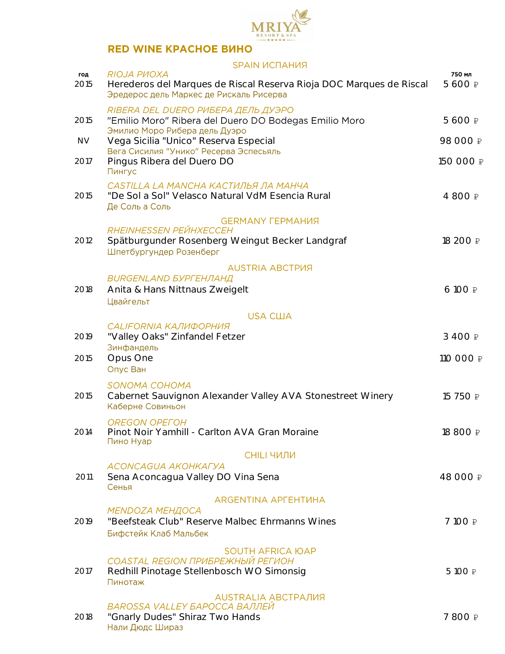

### **SPAIN ИСПАНИЯ** RIOJA PVOXA 750 мл год 2015 Herederos del Marques de Riscal Reserva Rioja DOC Marques de Riscal 5 600 ₽ Эредерос дель Маркес де Рискаль Рисерва RIBERA DEL DUERO РИБЕРА ДЕЛЬ ДУЭРО 2015 "Emilio Moro" Ribera del Duero DO Bodegas Emilio Moro 5600 P<br>Эмилио Моро Рибера дель Дуэро NV Vega Sicilia "Unico" Reserva Especial 98 000 ₽ 2017 Pingus Ribera del Duero DO 150 000 ₽ Пингус CASTILLA LA MANCHA КАСТИЛЬЯ ЛА МАНЧА 2015 "De Sol a Sol" Velasco Natural VdM Esencia Rural 4 800 P Де Соль а Соль **GERMANY FEPMAHUS** RHEINHESSEN PEЙHXECCEH 2012 Spätburgunder Rosenberg Weingut Becker Landgraf 18 200 ₽ Шпетбургундер Розенберг **AUSTRIA ABCTPUS BURGENLAND БУРГЕНЛАНД** 2018 Anita & Hans Nittnaus Zweigelt 6 100 ₽ **Швайгельт USA CIIIA CALIFORNIA КАЛИФОРНИЯ** 2019 "Valley Oaks" Zinfandel Fetzer 3 400 ₽ Зинфандель 2015 Opus One 110 000 ₽ Опус Ван SONOMA COHOMA 2015 Cabernet Sauvignon Alexander Valley AVA Stonestreet Winery 15 750 ₽ Каберне Совиньон **OREGON OPEFOH** 2014 Pinot Noir Yamhill - Carlton AVA Gran Moraine 19800 P<br>Пино Нуар **СНІLІ ЧИЛИ** ACONCAGUA AKOHKAFYA 2011 Sena Aconcagua Valley DO Vina Sena<br>Сенья ARGENTINA APFEHTUHA **MENDOZA МЕНДОСА** 2019 "Beefsteak Club" Reserve Malbec Ehrmanns Wines 7 100 ₽ Бифстейк Клаб Мальбек **SOUTH AFRICA ЮАР COASTAL REGION ПРИБРЕЖНЫЙ РЕГИОН** 2017 Redhill Pinotage Stellenbosch WO Simonsig 5 100 P Пинотаж **AUSTRALIA АВСТРАЛИЯ** BAROSSA VALLEY БАРОССА ВАЛЛЕЙ

#### 2018 "Gnarly Dudes" Shiraz Two Hands 7 800 ₽Нали Дюдс Шираз